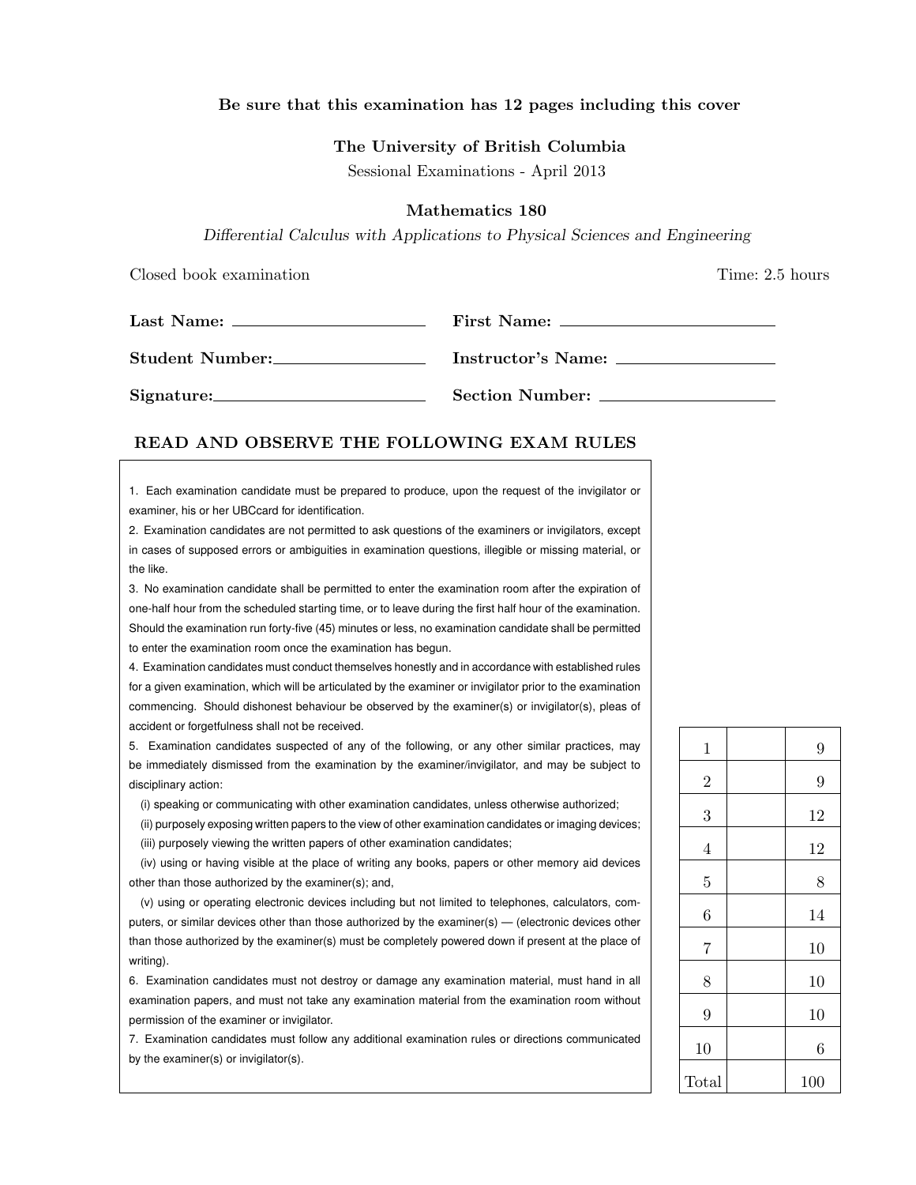## Be sure that this examination has 12 pages including this cover

### The University of British Columbia

Sessional Examinations - April 2013

### Mathematics 180

Differential Calculus with Applications to Physical Sciences and Engineering

Closed book examination **Time:** 2.5 hours

| Student Number: |                 |
|-----------------|-----------------|
|                 | Section Number: |

### READ AND OBSERVE THE FOLLOWING EXAM RULES

1. Each examination candidate must be prepared to produce, upon the request of the invigilator or examiner, his or her UBCcard for identification.

2. Examination candidates are not permitted to ask questions of the examiners or invigilators, except in cases of supposed errors or ambiguities in examination questions, illegible or missing material, or the like.

3. No examination candidate shall be permitted to enter the examination room after the expiration of one-half hour from the scheduled starting time, or to leave during the first half hour of the examination. Should the examination run forty-five (45) minutes or less, no examination candidate shall be permitted to enter the examination room once the examination has begun.

4. Examination candidates must conduct themselves honestly and in accordance with established rules for a given examination, which will be articulated by the examiner or invigilator prior to the examination commencing. Should dishonest behaviour be observed by the examiner(s) or invigilator(s), pleas of accident or forgetfulness shall not be received.

5. Examination candidates suspected of any of the following, or any other similar practices, may be immediately dismissed from the examination by the examiner/invigilator, and may be subject to disciplinary action:

(i) speaking or communicating with other examination candidates, unless otherwise authorized;

(ii) purposely exposing written papers to the view of other examination candidates or imaging devices; (iii) purposely viewing the written papers of other examination candidates;

(iv) using or having visible at the place of writing any books, papers or other memory aid devices other than those authorized by the examiner(s); and,

(v) using or operating electronic devices including but not limited to telephones, calculators, computers, or similar devices other than those authorized by the examiner(s) — (electronic devices other than those authorized by the examiner(s) must be completely powered down if present at the place of writing).

6. Examination candidates must not destroy or damage any examination material, must hand in all examination papers, and must not take any examination material from the examination room without permission of the examiner or invigilator.

7. Examination candidates must follow any additional examination rules or directions communicated by the examiner(s) or invigilator(s).

| $\mathbf{1}$   | 9   |
|----------------|-----|
| $\overline{2}$ | 9   |
| 3              | 12  |
| $\overline{4}$ | 12  |
| $\overline{5}$ | 8   |
| 6              | 14  |
| $\overline{7}$ | 10  |
| 8              | 10  |
| 9              | 10  |
| 10             | 6   |
| Total          | 100 |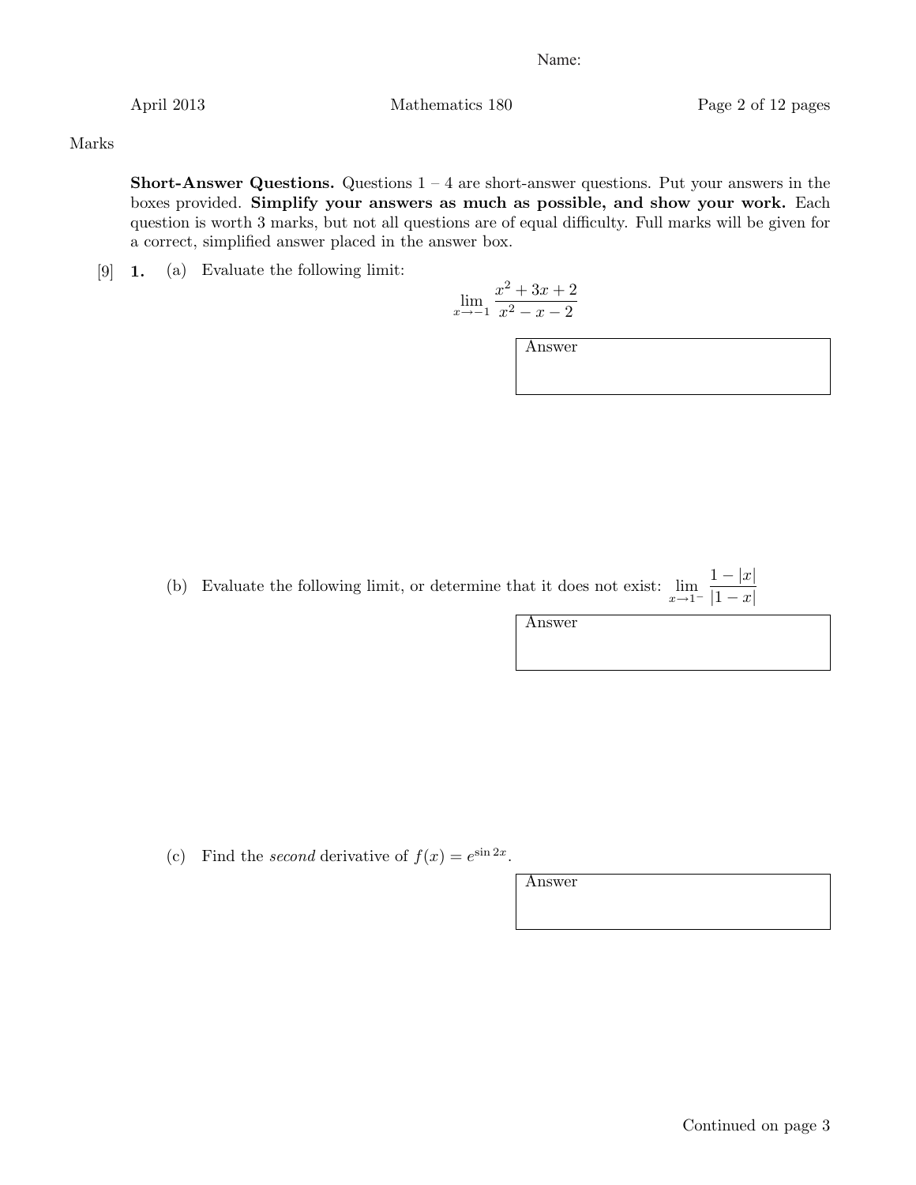April 2013 Mathematics 180 Page 2 of 12 pages

Marks

**Short-Answer Questions.** Questions  $1 - 4$  are short-answer questions. Put your answers in the boxes provided. Simplify your answers as much as possible, and show your work. Each question is worth 3 marks, but not all questions are of equal difficulty. Full marks will be given for a correct, simplified answer placed in the answer box.

[9] 1. (a) Evaluate the following limit:

$$
\lim_{x \to -1} \frac{x^2 + 3x + 2}{x^2 - x - 2}
$$

Answer

(b) Evaluate the following limit, or determine that it does not exist:  $\lim_{x\to 1^-}$  $1-|x|$  $|1 - x|$ 

Answer

(c) Find the second derivative of  $f(x) = e^{\sin 2x}$ .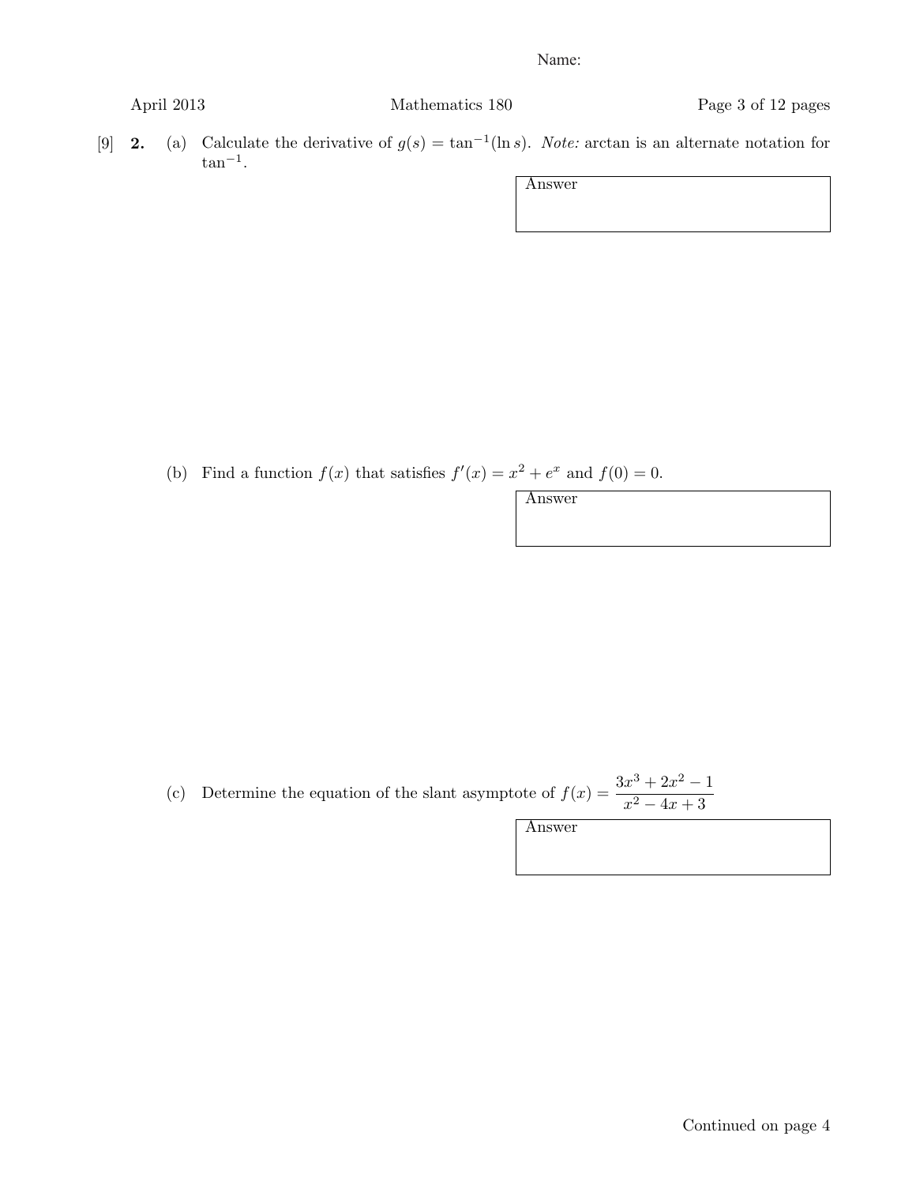April 2013 Mathematics 180 Page 3 of 12 pages

[9] 2. (a) Calculate the derivative of  $g(s) = \tan^{-1}(\ln s)$ . Note: arctan is an alternate notation for  $\tan^{-1}$ .

Answer

(b) Find a function  $f(x)$  that satisfies  $f'(x) = x^2 + e^x$  and  $f(0) = 0$ .

Answer

(c) Determine the equation of the slant asymptote of  $f(x) = \frac{3x^3 + 2x^2 - 1}{x^2 + 3x + 2}$  $x^2 - 4x + 3$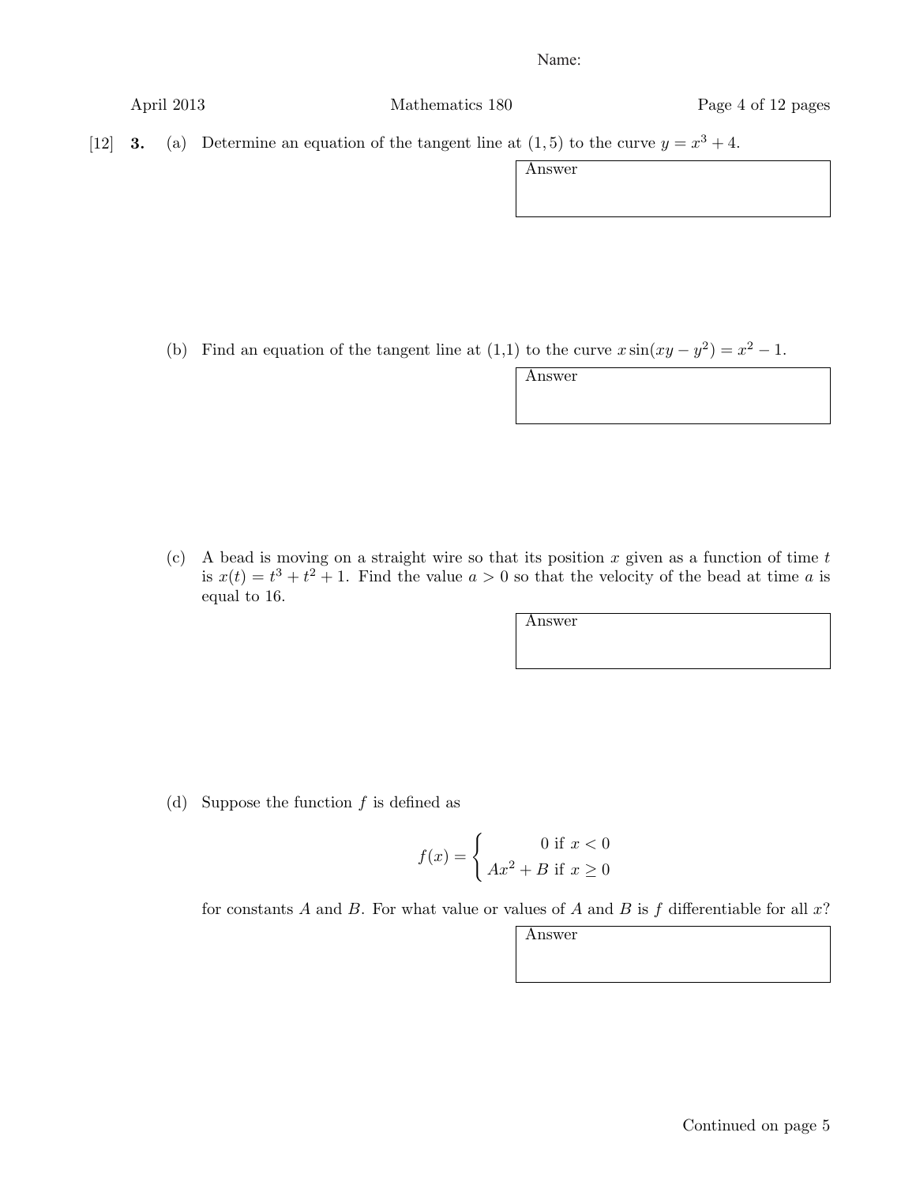April 2013 Mathematics 180 Page 4 of 12 pages

[12] **3.** (a) Determine an equation of the tangent line at  $(1, 5)$  to the curve  $y = x^3 + 4$ .

Answer

(b) Find an equation of the tangent line at (1,1) to the curve  $x \sin(xy - y^2) = x^2 - 1$ .

Answer

(c) A bead is moving on a straight wire so that its position x given as a function of time  $t$ is  $x(t) = t^3 + t^2 + 1$ . Find the value  $a > 0$  so that the velocity of the bead at time a is equal to 16.

Answer

(d) Suppose the function  $f$  is defined as

$$
f(x) = \begin{cases} 0 \text{ if } x < 0\\ Ax^2 + B \text{ if } x \ge 0 \end{cases}
$$

for constants A and B. For what value or values of A and B is  $f$  differentiable for all  $x$ ?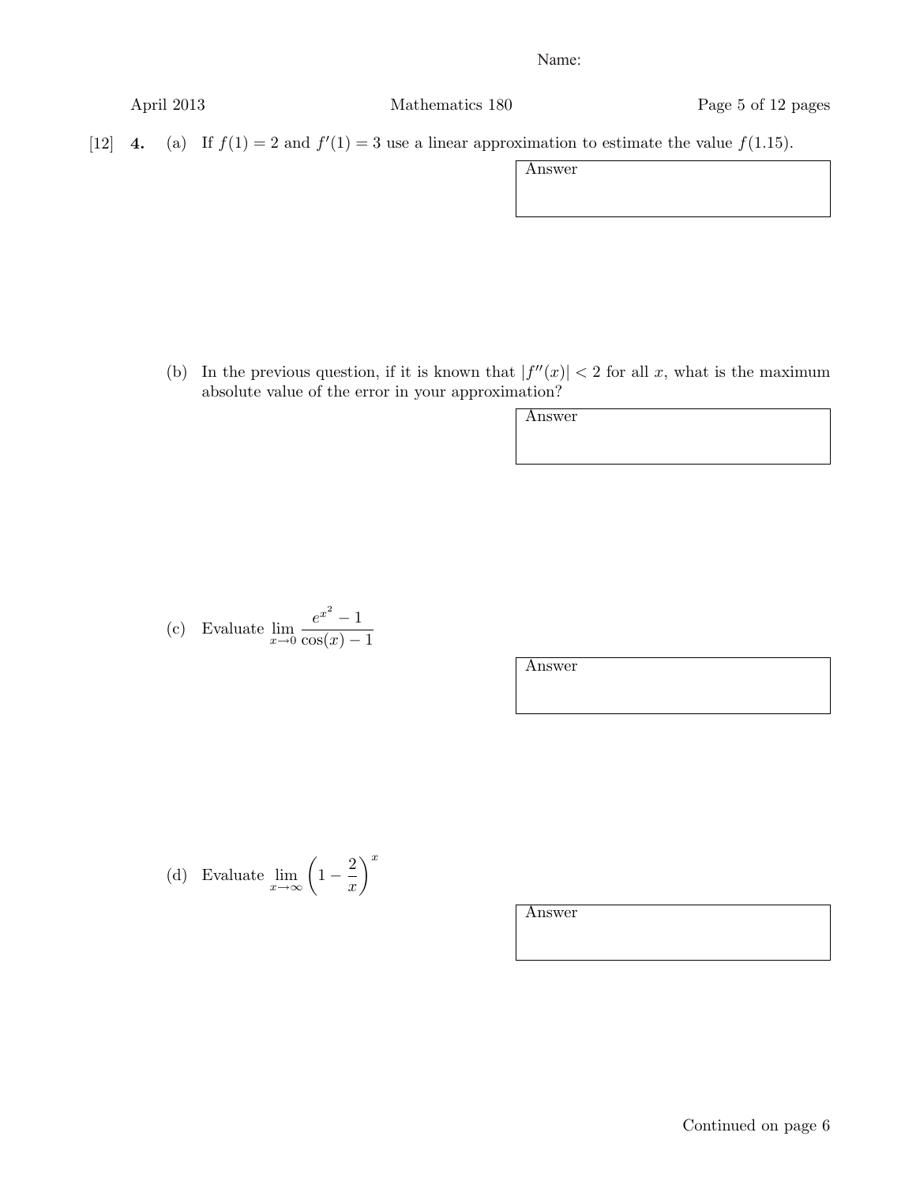April 2013 Mathematics 180 Page 5 of 12 pages

[12] **4.** (a) If  $f(1) = 2$  and  $f'(1) = 3$  use a linear approximation to estimate the value  $f(1.15)$ .

Answer

(b) In the previous question, if it is known that  $|f''(x)| < 2$  for all x, what is the maximum absolute value of the error in your approximation?

Answer

(c) Evaluate 
$$
\lim_{x \to 0} \frac{e^{x^2} - 1}{\cos(x) - 1}
$$

Answer

(d) Evaluate  $\lim_{x \to \infty} \left(1 - \frac{2}{x}\right)$  $\setminus^x$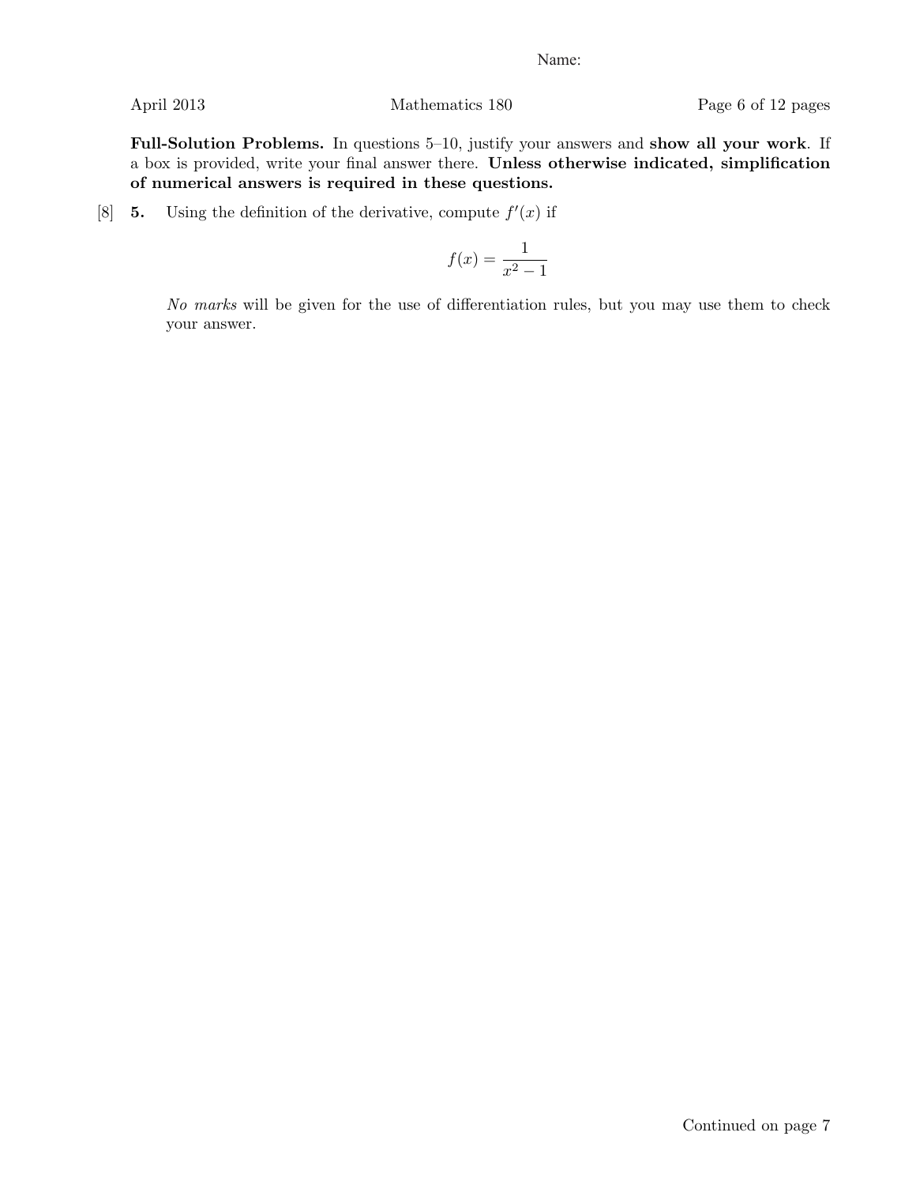Full-Solution Problems. In questions 5–10, justify your answers and show all your work. If a box is provided, write your final answer there. Unless otherwise indicated, simplification of numerical answers is required in these questions.

[8] **5.** Using the definition of the derivative, compute  $f'(x)$  if

$$
f(x) = \frac{1}{x^2 - 1}
$$

No marks will be given for the use of differentiation rules, but you may use them to check your answer.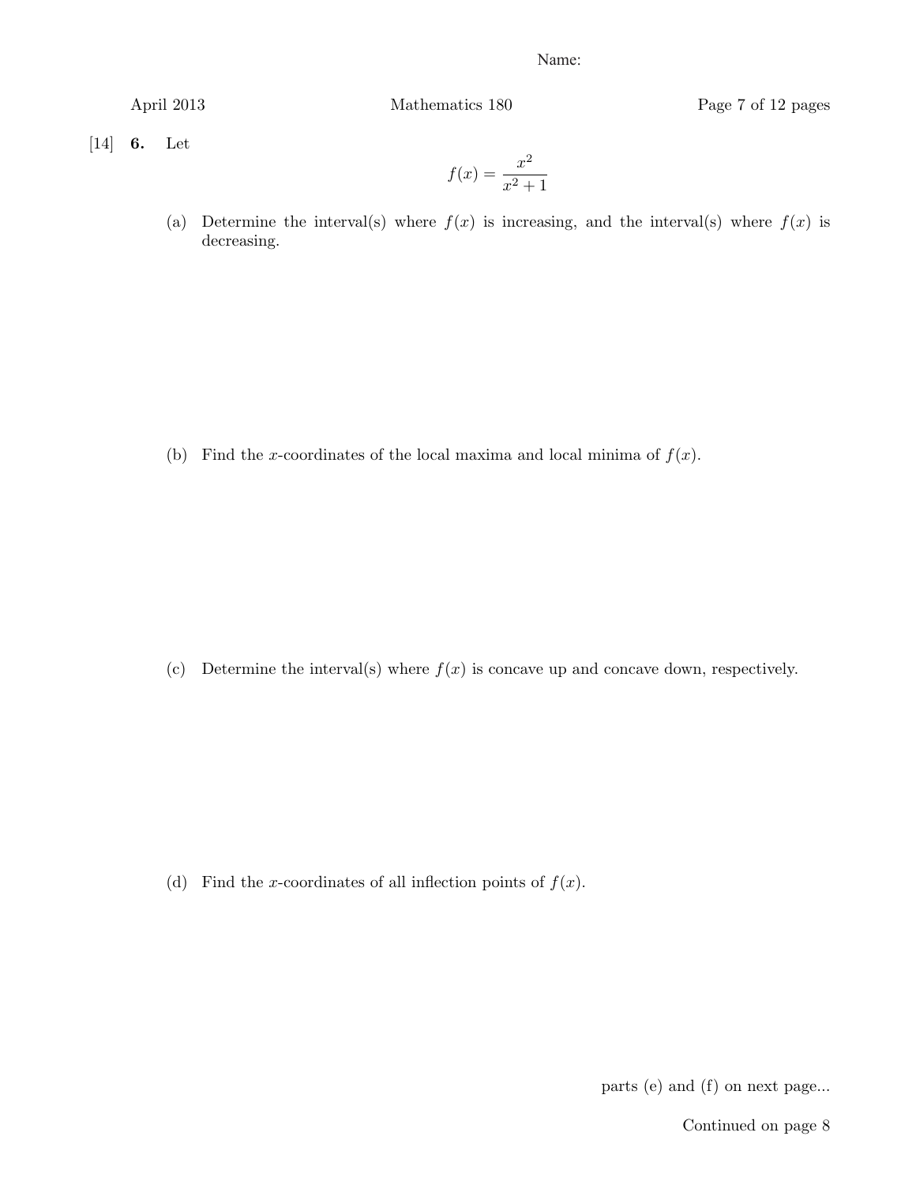April 2013 Mathematics 180 Page 7 of 12 pages

 $[14]$  **6.** Let

$$
f(x) = \frac{x^2}{x^2 + 1}
$$

(a) Determine the interval(s) where  $f(x)$  is increasing, and the interval(s) where  $f(x)$  is decreasing.

(b) Find the x-coordinates of the local maxima and local minima of  $f(x)$ .

(c) Determine the interval(s) where  $f(x)$  is concave up and concave down, respectively.

(d) Find the x-coordinates of all inflection points of  $f(x)$ .

parts (e) and (f) on next page...

Continued on page 8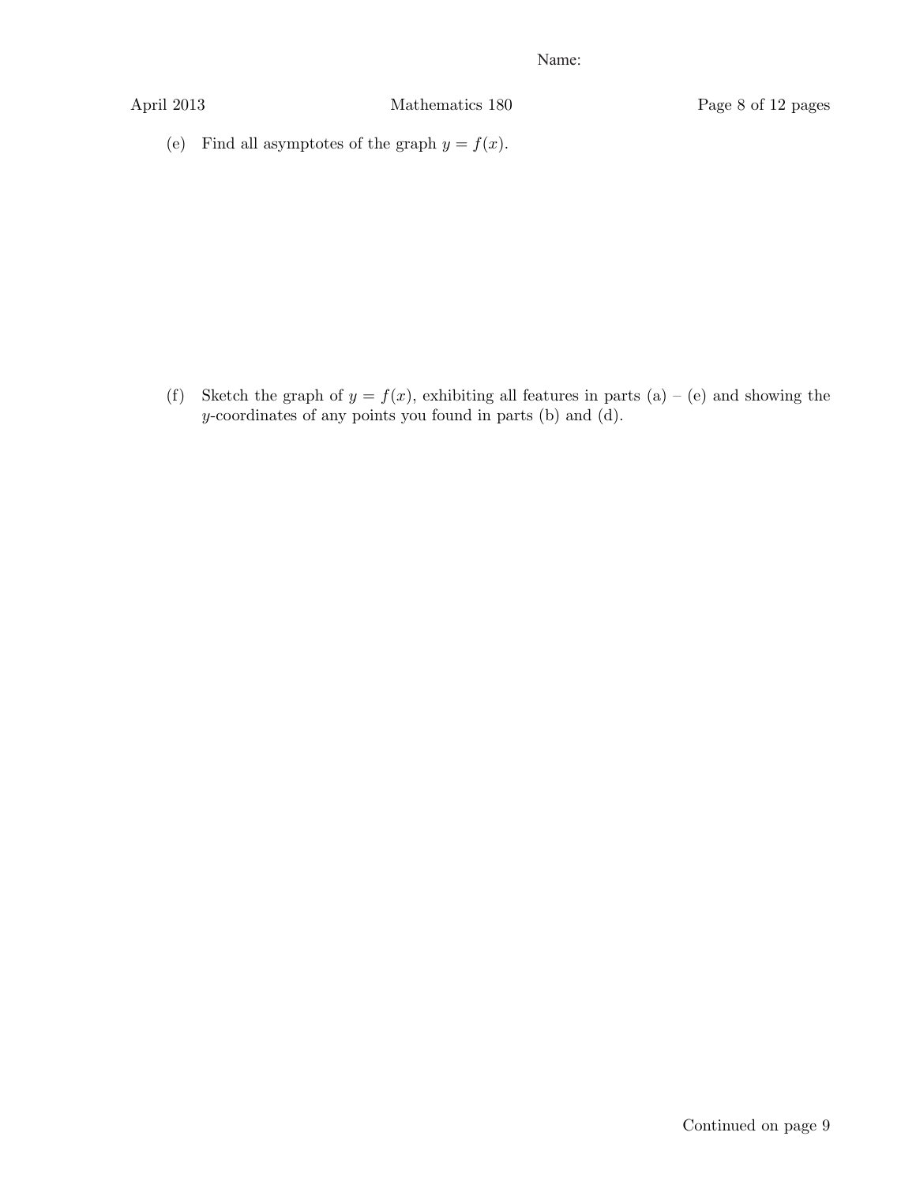(e) Find all asymptotes of the graph  $y = f(x)$ .

(f) Sketch the graph of  $y = f(x)$ , exhibiting all features in parts (a) – (e) and showing the y-coordinates of any points you found in parts (b) and (d).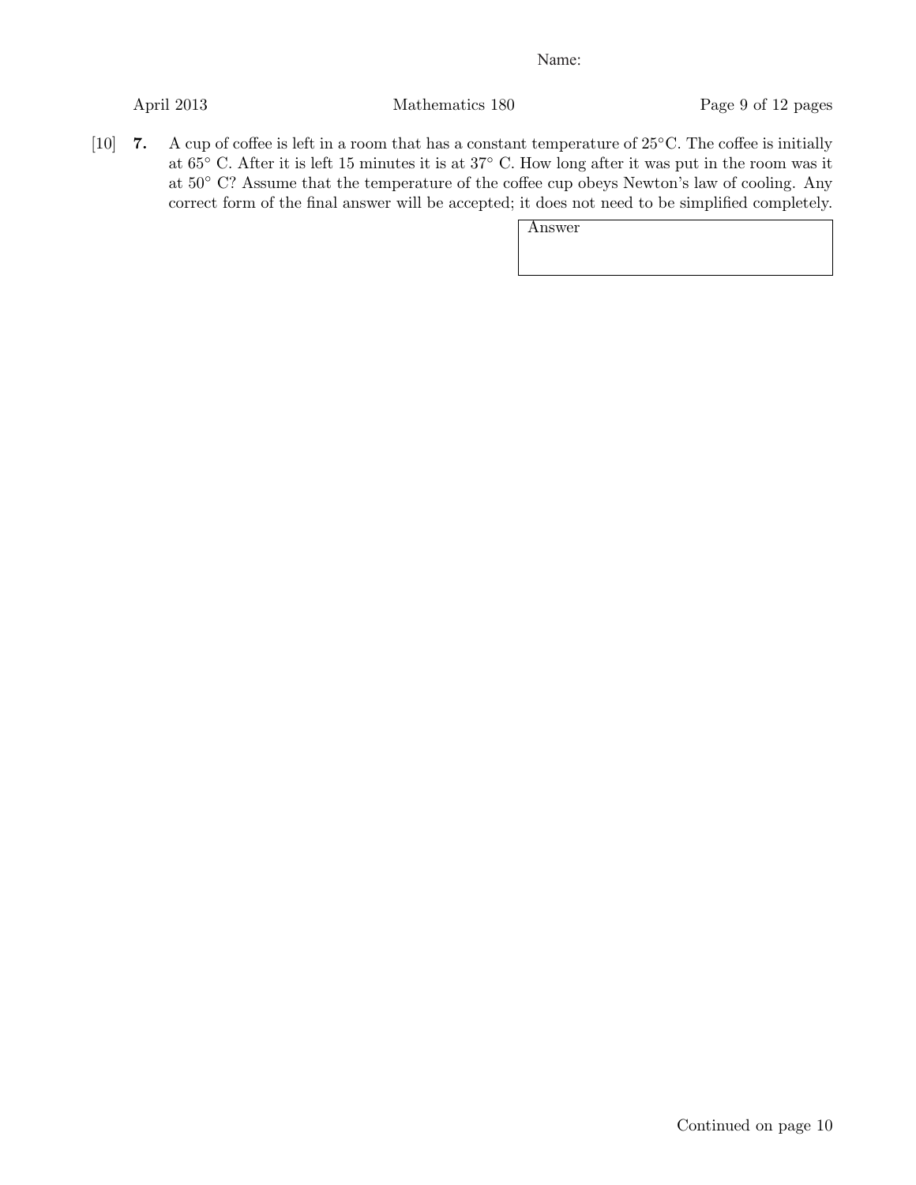April 2013 Mathematics 180 Page 9 of 12 pages

[10] 7. A cup of coffee is left in a room that has a constant temperature of 25◦C. The coffee is initially at 65◦ C. After it is left 15 minutes it is at 37◦ C. How long after it was put in the room was it at 50◦ C? Assume that the temperature of the coffee cup obeys Newton's law of cooling. Any correct form of the final answer will be accepted; it does not need to be simplified completely.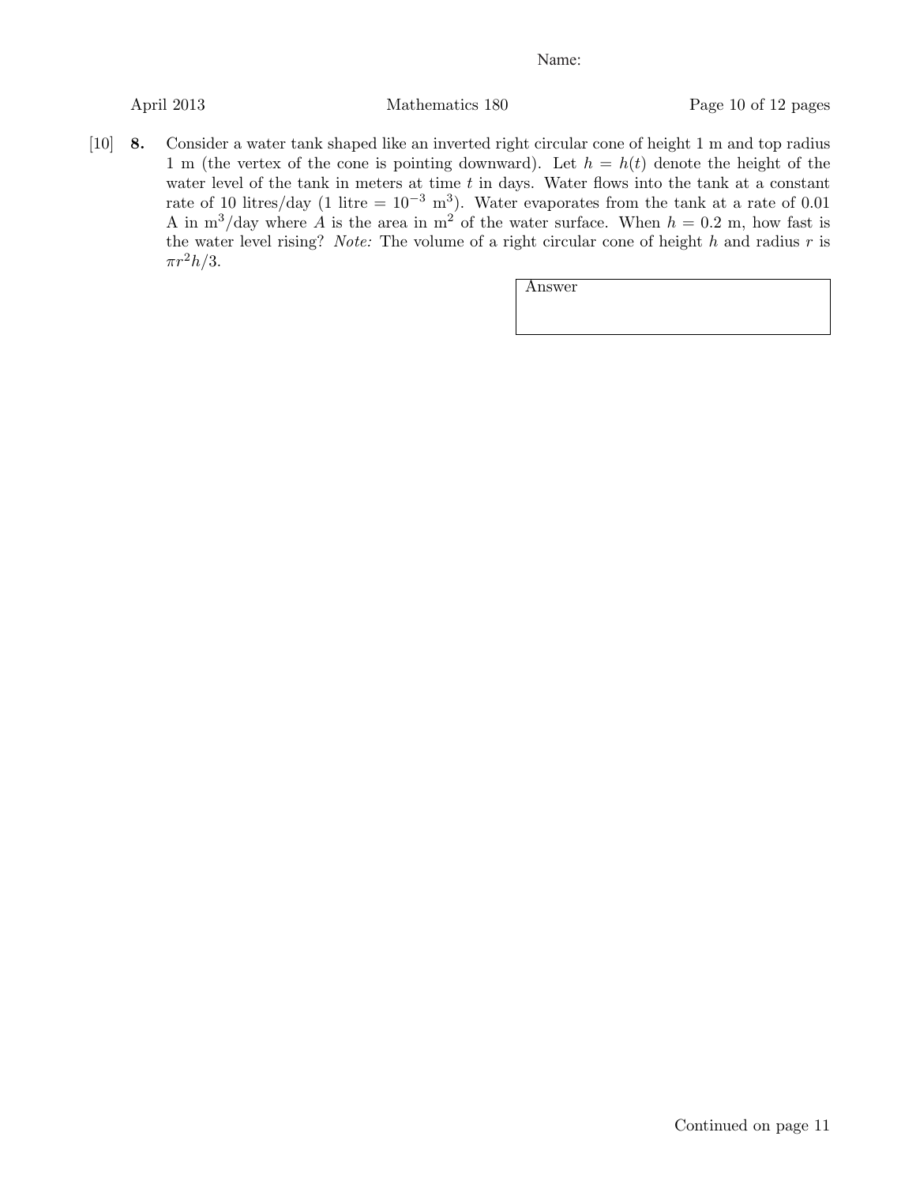April 2013 Mathematics 180 Page 10 of 12 pages

[10] 8. Consider a water tank shaped like an inverted right circular cone of height 1 m and top radius 1 m (the vertex of the cone is pointing downward). Let  $h = h(t)$  denote the height of the water level of the tank in meters at time  $t$  in days. Water flows into the tank at a constant rate of 10 litres/day (1 litre =  $10^{-3}$  m<sup>3</sup>). Water evaporates from the tank at a rate of 0.01 A in m<sup>3</sup>/day where A is the area in m<sup>2</sup> of the water surface. When  $h = 0.2$  m, how fast is the water level rising? Note: The volume of a right circular cone of height h and radius r is  $\pi r^2 h/3$ .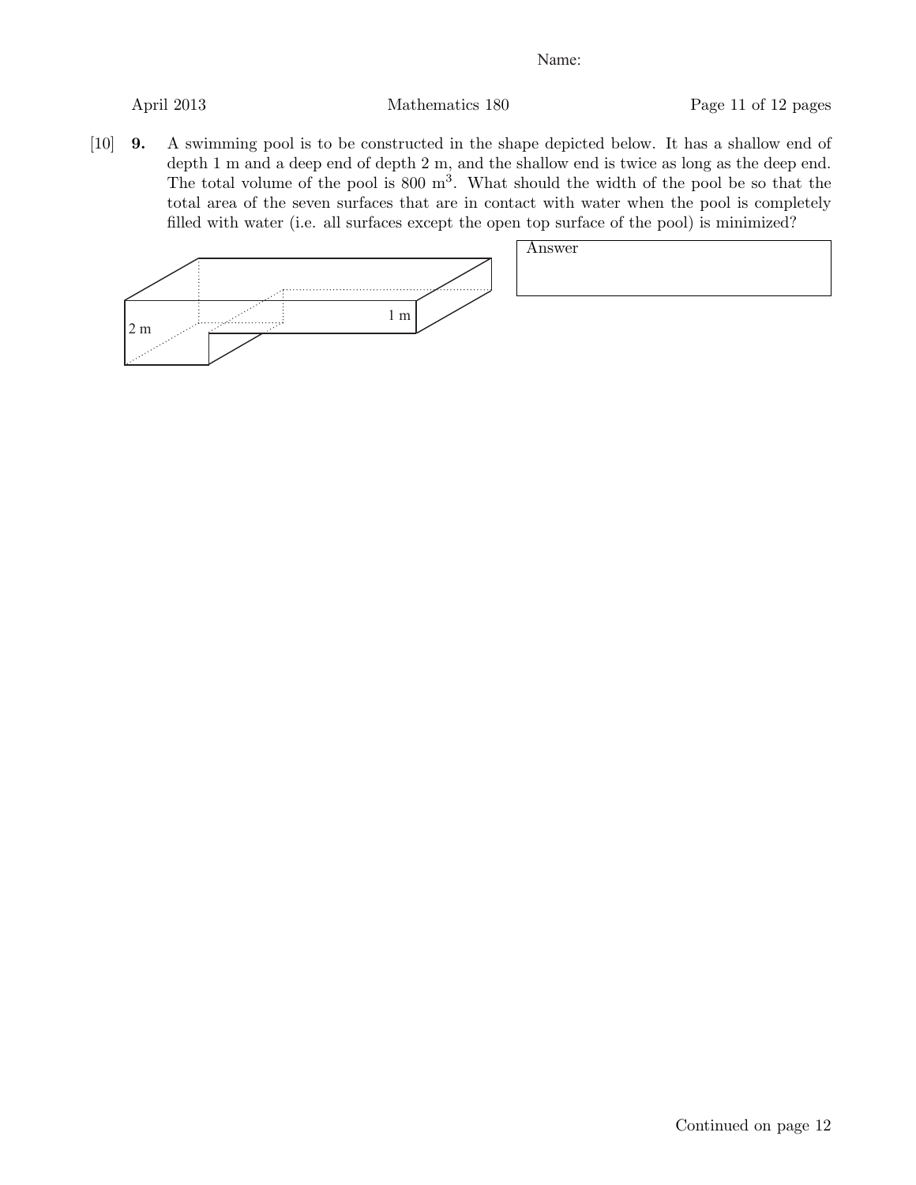April 2013 Mathematics 180 Page 11 of 12 pages

[10] 9. A swimming pool is to be constructed in the shape depicted below. It has a shallow end of depth 1 m and a deep end of depth 2 m, and the shallow end is twice as long as the deep end. The total volume of the pool is  $800 \text{ m}^3$ . What should the width of the pool be so that the total area of the seven surfaces that are in contact with water when the pool is completely filled with water (i.e. all surfaces except the open top surface of the pool) is minimized?